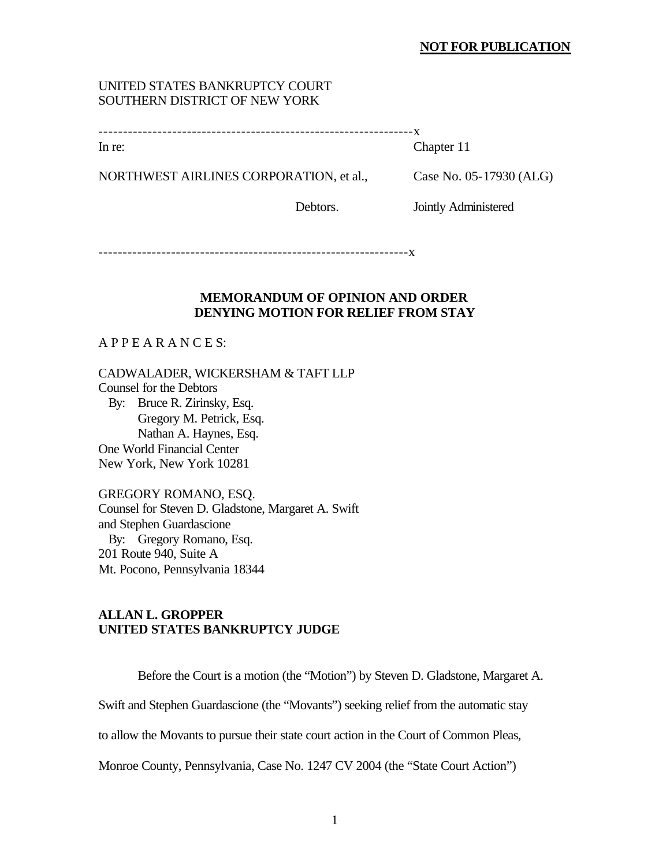#### **NOT FOR PUBLICATION**

## UNITED STATES BANKRUPTCY COURT SOUTHERN DISTRICT OF NEW YORK

|--|

In re: Chapter 11

NORTHWEST AIRLINES CORPORATION, et al., Case No. 05-17930 (ALG)

Debtors. Jointly Administered

----------------------------------------------------------------x

#### **MEMORANDUM OF OPINION AND ORDER DENYING MOTION FOR RELIEF FROM STAY**

## A P P E A R A N C E S:

CADWALADER, WICKERSHAM & TAFT LLP Counsel for the Debtors By: Bruce R. Zirinsky, Esq. Gregory M. Petrick, Esq. Nathan A. Haynes, Esq. One World Financial Center New York, New York 10281

GREGORY ROMANO, ESQ. Counsel for Steven D. Gladstone, Margaret A. Swift and Stephen Guardascione By: Gregory Romano, Esq. 201 Route 940, Suite A Mt. Pocono, Pennsylvania 18344

## **ALLAN L. GROPPER UNITED STATES BANKRUPTCY JUDGE**

Before the Court is a motion (the "Motion") by Steven D. Gladstone, Margaret A.

Swift and Stephen Guardascione (the "Movants") seeking relief from the automatic stay

to allow the Movants to pursue their state court action in the Court of Common Pleas,

Monroe County, Pennsylvania, Case No. 1247 CV 2004 (the "State Court Action")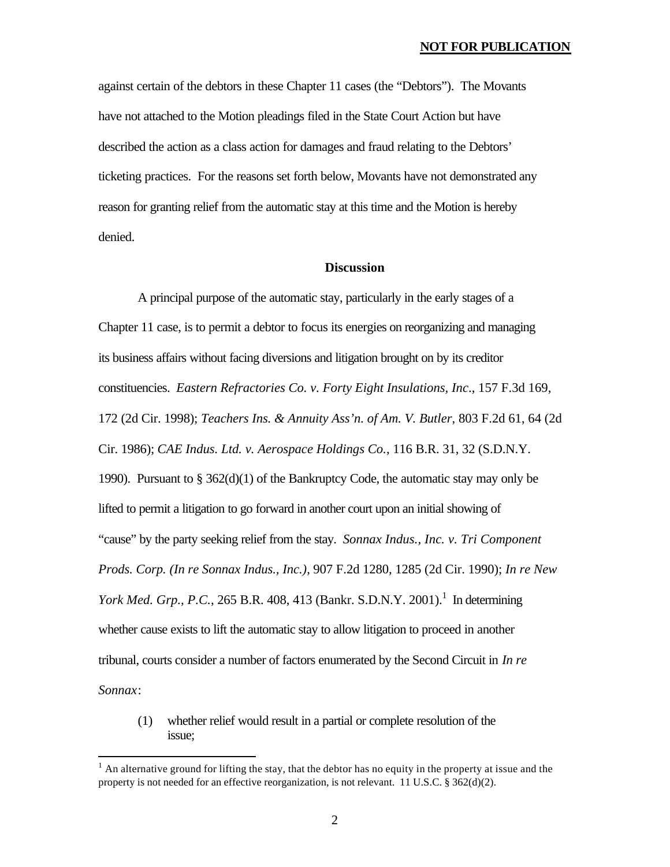against certain of the debtors in these Chapter 11 cases (the "Debtors"). The Movants have not attached to the Motion pleadings filed in the State Court Action but have described the action as a class action for damages and fraud relating to the Debtors' ticketing practices. For the reasons set forth below, Movants have not demonstrated any reason for granting relief from the automatic stay at this time and the Motion is hereby denied.

### **Discussion**

A principal purpose of the automatic stay, particularly in the early stages of a Chapter 11 case, is to permit a debtor to focus its energies on reorganizing and managing its business affairs without facing diversions and litigation brought on by its creditor constituencies. *Eastern Refractories Co. v. Forty Eight Insulations, Inc*., 157 F.3d 169, 172 (2d Cir. 1998); *Teachers Ins. & Annuity Ass'n. of Am. V. Butler*, 803 F.2d 61, 64 (2d Cir. 1986); *CAE Indus. Ltd. v. Aerospace Holdings Co.*, 116 B.R. 31, 32 (S.D.N.Y. 1990). Pursuant to § 362(d)(1) of the Bankruptcy Code, the automatic stay may only be lifted to permit a litigation to go forward in another court upon an initial showing of "cause" by the party seeking relief from the stay. *Sonnax Indus., Inc. v. Tri Component Prods. Corp. (In re Sonnax Indus., Inc.)*, 907 F.2d 1280, 1285 (2d Cir. 1990); *In re New York Med. Grp., P.C., 265 B.R. 408, 413 (Bankr. S.D.N.Y. 2001).*<sup>1</sup> In determining whether cause exists to lift the automatic stay to allow litigation to proceed in another tribunal, courts consider a number of factors enumerated by the Second Circuit in *In re Sonnax*:

(1) whether relief would result in a partial or complete resolution of the issue;

 $\overline{a}$ 

 $<sup>1</sup>$  An alternative ground for lifting the stay, that the debtor has no equity in the property at issue and the</sup> property is not needed for an effective reorganization, is not relevant. 11 U.S.C. § 362(d)(2).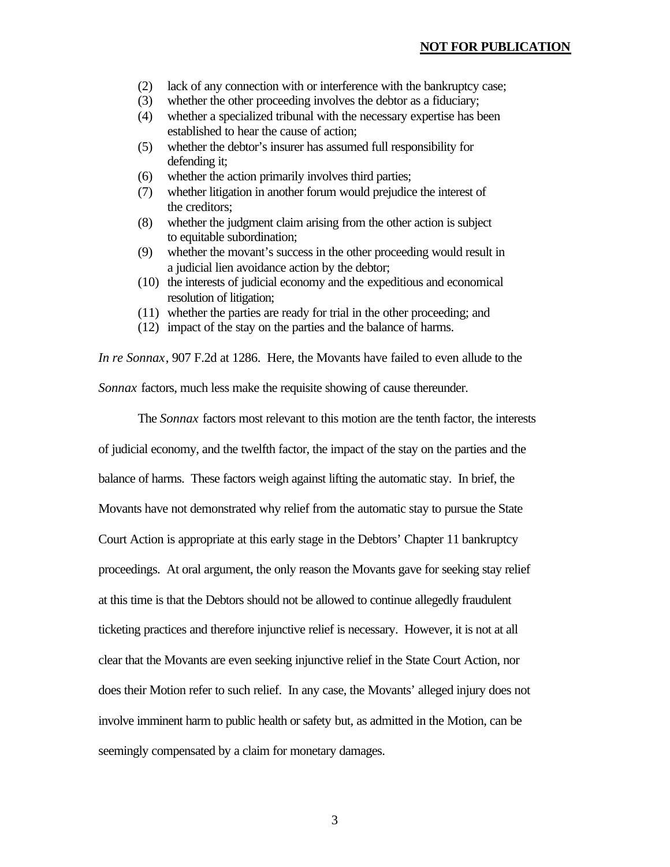- (2) lack of any connection with or interference with the bankruptcy case;
- (3) whether the other proceeding involves the debtor as a fiduciary;
- (4) whether a specialized tribunal with the necessary expertise has been established to hear the cause of action;
- (5) whether the debtor's insurer has assumed full responsibility for defending it;
- (6) whether the action primarily involves third parties;
- (7) whether litigation in another forum would prejudice the interest of the creditors;
- (8) whether the judgment claim arising from the other action is subject to equitable subordination;
- (9) whether the movant's success in the other proceeding would result in a judicial lien avoidance action by the debtor;
- (10) the interests of judicial economy and the expeditious and economical resolution of litigation;
- (11) whether the parties are ready for trial in the other proceeding; and
- (12) impact of the stay on the parties and the balance of harms.

*In re Sonnax*, 907 F.2d at 1286. Here, the Movants have failed to even allude to the *Sonnax* factors, much less make the requisite showing of cause thereunder.

The *Sonnax* factors most relevant to this motion are the tenth factor, the interests of judicial economy, and the twelfth factor, the impact of the stay on the parties and the balance of harms. These factors weigh against lifting the automatic stay. In brief, the Movants have not demonstrated why relief from the automatic stay to pursue the State Court Action is appropriate at this early stage in the Debtors' Chapter 11 bankruptcy proceedings. At oral argument, the only reason the Movants gave for seeking stay relief at this time is that the Debtors should not be allowed to continue allegedly fraudulent ticketing practices and therefore injunctive relief is necessary. However, it is not at all clear that the Movants are even seeking injunctive relief in the State Court Action, nor does their Motion refer to such relief. In any case, the Movants' alleged injury does not involve imminent harm to public health or safety but, as admitted in the Motion, can be seemingly compensated by a claim for monetary damages.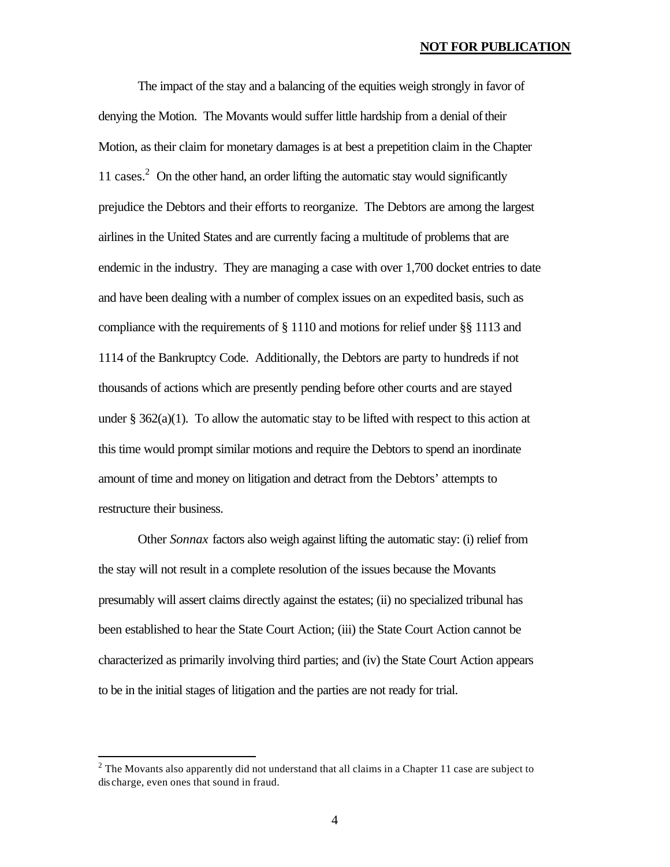#### **NOT FOR PUBLICATION**

The impact of the stay and a balancing of the equities weigh strongly in favor of denying the Motion. The Movants would suffer little hardship from a denial of their Motion, as their claim for monetary damages is at best a prepetition claim in the Chapter 11 cases.<sup>2</sup> On the other hand, an order lifting the automatic stay would significantly prejudice the Debtors and their efforts to reorganize. The Debtors are among the largest airlines in the United States and are currently facing a multitude of problems that are endemic in the industry. They are managing a case with over 1,700 docket entries to date and have been dealing with a number of complex issues on an expedited basis, such as compliance with the requirements of § 1110 and motions for relief under §§ 1113 and 1114 of the Bankruptcy Code. Additionally, the Debtors are party to hundreds if not thousands of actions which are presently pending before other courts and are stayed under  $\S 362(a)(1)$ . To allow the automatic stay to be lifted with respect to this action at this time would prompt similar motions and require the Debtors to spend an inordinate amount of time and money on litigation and detract from the Debtors' attempts to restructure their business.

Other *Sonnax* factors also weigh against lifting the automatic stay: (i) relief from the stay will not result in a complete resolution of the issues because the Movants presumably will assert claims directly against the estates; (ii) no specialized tribunal has been established to hear the State Court Action; (iii) the State Court Action cannot be characterized as primarily involving third parties; and (iv) the State Court Action appears to be in the initial stages of litigation and the parties are not ready for trial.

 $\overline{a}$ 

 $2^2$  The Movants also apparently did not understand that all claims in a Chapter 11 case are subject to dis charge, even ones that sound in fraud.